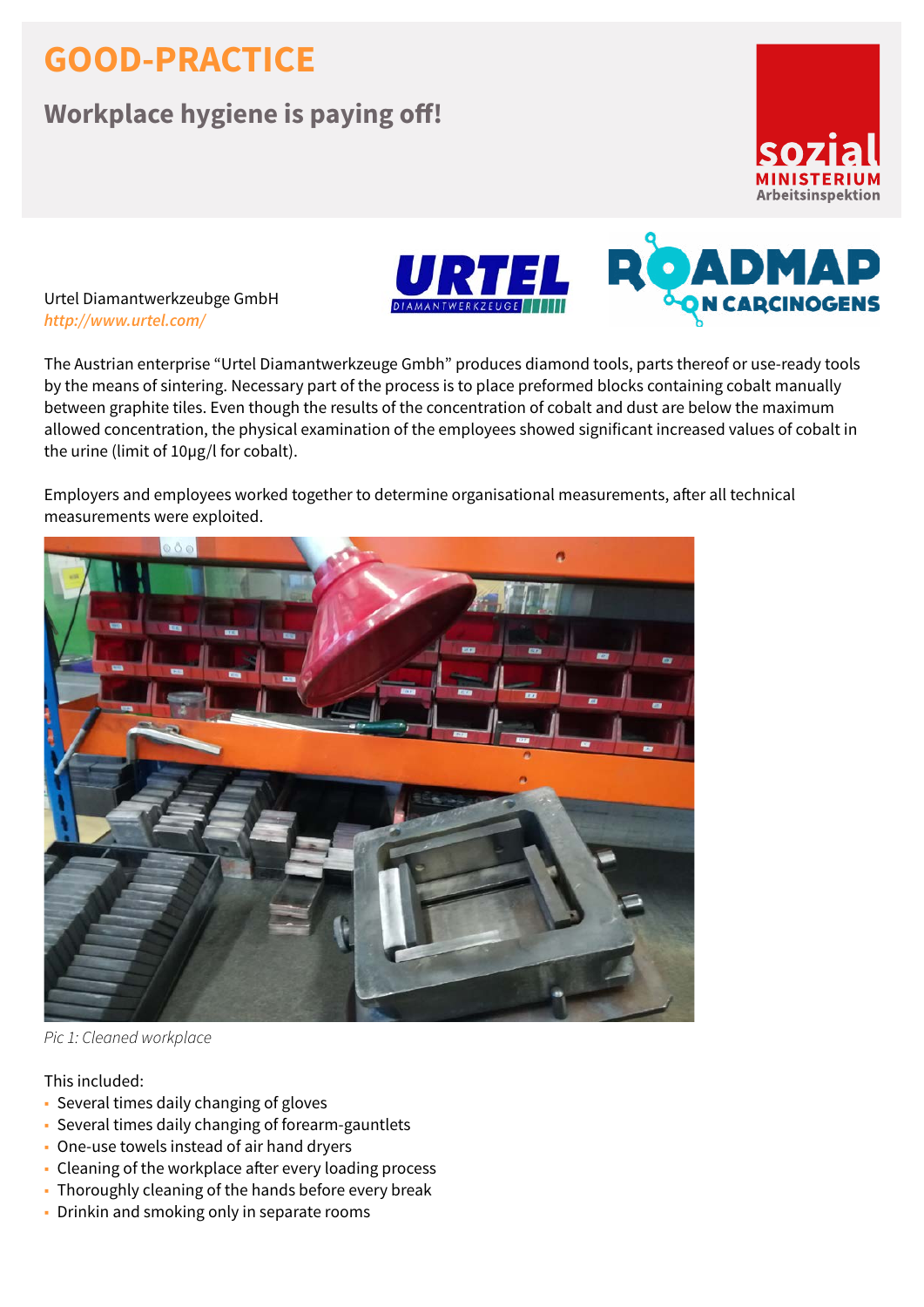## **GOOD-PRACTICE**

## **Workplace hygiene is paying off!**





Urtel Diamantwerkzeubge GmbH *<http://www.urtel.com/>*

The Austrian enterprise "Urtel Diamantwerkzeuge Gmbh" produces diamond tools, parts thereof or use-ready tools by the means of sintering. Necessary part of the process is to place preformed blocks containing cobalt manually between graphite tiles. Even though the results of the concentration of cobalt and dust are below the maximum allowed concentration, the physical examination of the employees showed significant increased values of cobalt in the urine (limit of 10µg/l for cobalt).

Employers and employees worked together to determine organisational measurements, after all technical measurements were exploited.



*Pic 1: Cleaned workplace*

## This included:

- Several times daily changing of gloves
- Several times daily changing of forearm-gauntlets
- One-use towels instead of air hand dryers
- Cleaning of the workplace after every loading process
- Thoroughly cleaning of the hands before every break
- Drinkin and smoking only in separate rooms